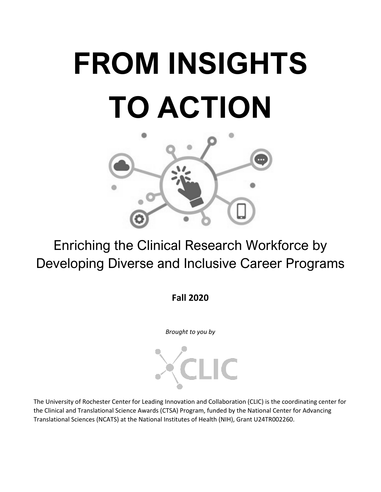# **FROM INSIGHTS TO ACTION**



Enriching the Clinical Research Workforce by Developing Diverse and Inclusive Career Programs

**Fall 2020**

*Brought to you by*



The University of Rochester Center for Leading Innovation and Collaboration (CLIC) is the coordinating center for the Clinical and Translational Science Awards (CTSA) Program, funded by the National Center for Advancing Translational Sciences (NCATS) at the National Institutes of Health (NIH), Grant U24TR002260.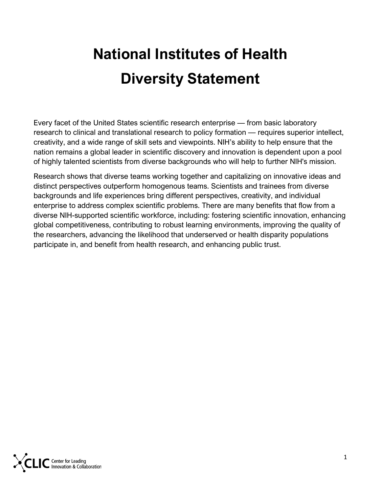### **National Institutes of Health Diversity Statement**

Every facet of the United States scientific research enterprise — from basic laboratory research to clinical and translational research to policy formation — requires superior intellect, creativity, and a wide range of skill sets and viewpoints. NIH's ability to help ensure that the nation remains a global leader in scientific discovery and innovation is dependent upon a pool of highly talented scientists from diverse backgrounds who will help to further NIH's mission.

Research shows that diverse teams working together and capitalizing on innovative ideas and distinct perspectives outperform homogenous teams. Scientists and trainees from diverse backgrounds and life experiences bring different perspectives, creativity, and individual enterprise to address complex scientific problems. There are many benefits that flow from a diverse NIH-supported scientific workforce, including: fostering scientific innovation, enhancing global competitiveness, contributing to robust learning environments, improving the quality of the researchers, advancing the likelihood that underserved or health disparity populations participate in, and benefit from health research, and enhancing public trust.

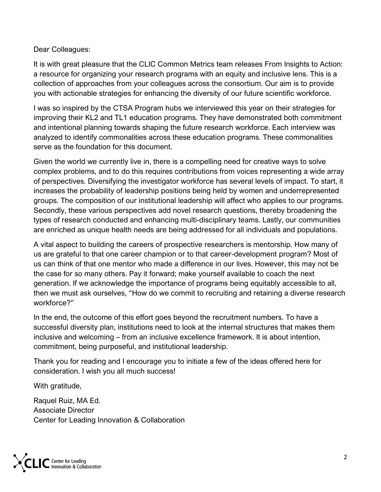Dear Colleagues:

It is with great pleasure that the CLIC Common Metrics team releases From Insights to Action: a resource for organizing your research programs with an equity and inclusive lens. This is a collection of approaches from your colleagues across the consortium. Our aim is to provide you with actionable strategies for enhancing the diversity of our future scientific workforce.

I was so inspired by the CTSA Program hubs we interviewed this year on their strategies for improving their KL2 and TL1 education programs. They have demonstrated both commitment and intentional planning towards shaping the future research workforce. Each interview was analyzed to identify commonalities across these education programs. These commonalities serve as the foundation for this document.

Given the world we currently live in, there is a compelling need for creative ways to solve complex problems, and to do this requires contributions from voices representing a wide array of perspectives. Diversifying the investigator workforce has several levels of impact. To start, it increases the probability of leadership positions being held by women and underrepresented groups. The composition of our institutional leadership will affect who applies to our programs. Secondly, these various perspectives add novel research questions, thereby broadening the types of research conducted and enhancing multi-disciplinary teams. Lastly, our communities are enriched as unique health needs are being addressed for all individuals and populations.

A vital aspect to building the careers of prospective researchers is mentorship. How many of us are grateful to that one career champion or to that career-development program? Most of us can think of that one mentor who made a difference in our lives. However, this may not be the case for so many others. Pay it forward; make yourself available to coach the next generation. If we acknowledge the importance of programs being equitably accessible to all, then we must ask ourselves, "How do we commit to recruiting and retaining a diverse research workforce?"

In the end, the outcome of this effort goes beyond the recruitment numbers. To have a successful diversity plan, institutions need to look at the internal structures that makes them inclusive and welcoming – from an inclusive excellence framework. It is about intention, commitment, being purposeful, and institutional leadership.

Thank you for reading and I encourage you to initiate a few of the ideas offered here for consideration. I wish you all much success!

With gratitude,

Raquel Ruiz, MA Ed. Associate Director Center for Leading Innovation & Collaboration

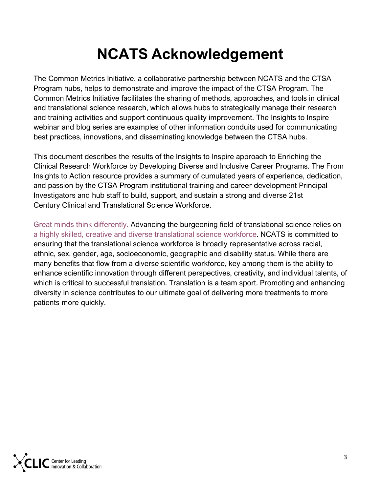### **NCATS Acknowledgement**

The Common Metrics Initiative, a collaborative partnership between NCATS and the CTSA Program hubs, helps to demonstrate and improve the impact of the CTSA Program. The Common Metrics Initiative facilitates the sharing of methods, approaches, and tools in clinical and translational science research, which allows hubs to strategically manage their research and training activities and support continuous quality improvement. The Insights to Inspire webinar and blog series are examples of other information conduits used for communicating best practices, innovations, and disseminating knowledge between the CTSA hubs.

This document describes the results of the Insights to Inspire approach to Enriching the Clinical Research Workforce by Developing Diverse and Inclusive Career Programs. The From Insights to Action resource provides a summary of cumulated years of experience, dedication, and passion by the CTSA Program institutional training and career development Principal Investigators and hub staff to build, support, and sustain a strong and diverse 21st Century Clinical and Translational Science Workforce.

[Great minds think differently. A](https://diversity.nih.gov/sites/coswd/files/images/2018-06/SWD_StrategicPlan_layout_final_links-508c.pdf)dvancing the burgeoning field of translational science relies on [a highly skilled, creative and diverse translational science workforce.](https://ncats.nih.gov/strategicplan/goal3) NCATS is committed to ensuring that the translational science workforce is broadly representative across racial, ethnic, sex, gender, age, socioeconomic, geographic and disability status. While there are many benefits that flow from a diverse scientific workforce, key among them is the ability to enhance scientific innovation through different perspectives, creativity, and individual talents, of which is critical to successful translation. Translation is a team sport. Promoting and enhancing diversity in science contributes to our ultimate goal of delivering more treatments to more patients more quickly.

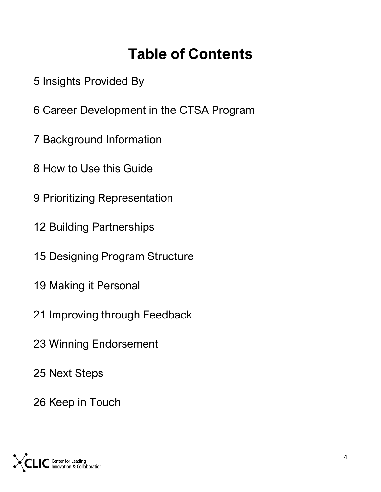### **Table of Contents**

- [Insights Provided By](#page-5-0)
- [Career Development in the CTSA Program](#page-6-0)
- [Background Information](#page-7-0)
- [How to Use this Guide](#page-8-0)
- [Prioritizing Representation](#page-9-0)
- [Building Partnerships](#page-12-0)
- [Designing Program Structure](#page-15-0)
- [Making it Personal](#page-19-0)
- [Improving through Feedback](#page-21-0)
- [Winning Endorsement](#page-23-0)
- [Next Steps](#page-25-0)
- [Keep in Touch](#page-26-0)

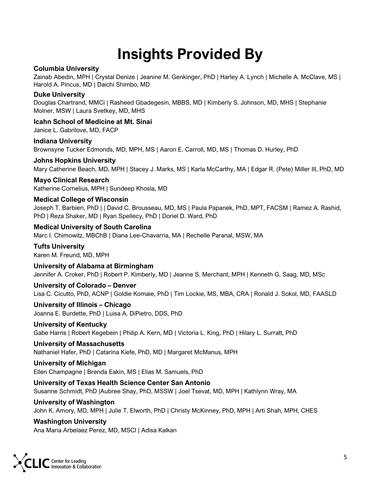### **Insights Provided By**

#### <span id="page-5-0"></span>**Columbia University**

Zainab Abedin, MPH | Crystal Denize | Jeanine M. Genkinger, PhD | Harley A. Lynch | Michelle A. McClave, MS | Harold A. Pincus, MD | Daichi Shimbo, MD

#### **Duke University**

Douglas Chartrand, MMCi | Rasheed Gbadegesin, MBBS, MD | Kimberly S. Johnson, MD, MHS | Stephanie Molner, MSW | Laura Svetkey, MD, MHS

**Icahn School of Medicine at Mt. Sinai**

Janice L. Gabrilove, MD, FACP

**Indiana University**

Brownsyne Tucker Edmonds, MD, MPH, MS | Aaron E. Carroll, MD, MS | Thomas D. Hurley, PhD

#### **Johns Hopkins University**

Mary Catherine Beach, MD, MPH | Stacey J. Marks, MS | Karla McCarthy, MA | Edgar R. (Pete) Miller III, PhD, MD

#### **Mayo Clinical Research**

Katherine Cornelius, MPH | Sundeep Khosla, MD

#### **Medical College of Wisconsin**

Joseph T. Barbieri, PhD | | David C. Brousseau, MD, MS | Paula Papanek, PhD, MPT, FACSM | Ramez A. Rashid, PhD | Reza Shaker, MD | Ryan Spellecy, PhD | Doriel D. Ward, PhD

#### **Medical University of South Carolina**

Marc I. Chimowitz, MBChB | Diana Lee-Chavarria, MA | Rechelle Paranal, MSW, MA

#### **Tufts University**

Karen M. Freund, MD, MPH

#### **University of Alabama at Birmingham**

Jennifer A. Croker, PhD | Robert P. Kimberly, MD | Jeanne S. Merchant, MPH | Kenneth G. Saag, MD, MSc

#### **University of Colorado – Denver**

Lisa C. Cicutto, PhD, ACNP | Goldie Komaie, PhD | Tim Lockie, MS, MBA, CRA | Ronald J. Sokol, MD, FAASLD

#### **University of Illinois – Chicago**

Joanna E. Burdette, PhD | Luisa A. DiPietro, DDS, PhD

#### **University of Kentucky**

Gabe Harris | Robert Kegebein | Philip A. Kern, MD | Victoria L. King, PhD | Hilary L. Surratt, PhD

#### **University of Massachusetts**

Nathaniel Hafer, PhD | Catarina Kiefe, PhD, MD | Margaret McManus, MPH

#### **University of Michigan**

Ellen Champagne | Brenda Eakin, MS | Elias M. Samuels, PhD

#### **University of Texas Health Science Center San Antonio**

Susanne Schmidt, PhD |Aubree Shay, PhD, MSSW | Joel Tsevat, MD, MPH | Kathlynn Wray, MA

#### **University of Washington**

John K. Amory, MD, MPH | Julie T. Elworth, PhD | Christy McKinney, PhD, MPH | Arti Shah, MPH, CHES

#### **Washington University**

Ana Maria Arbelaez Perez, MD, MSCI | Adisa Kalkan

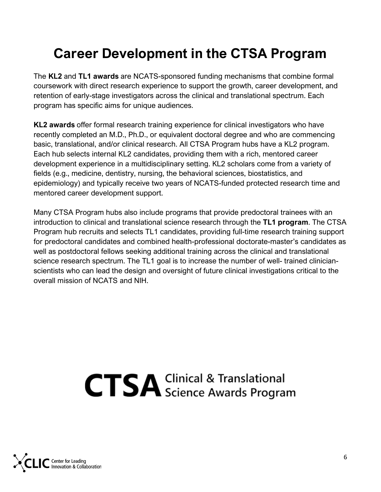### <span id="page-6-0"></span>**Career Development in the CTSA Program**

The **KL2** and **TL1 awards** are NCATS-sponsored funding mechanisms that combine formal coursework with direct research experience to support the growth, career development, and retention of early-stage investigators across the clinical and translational spectrum. Each program has specific aims for unique audiences.

**KL2 awards** offer formal research training experience for clinical investigators who have recently completed an M.D., Ph.D., or equivalent doctoral degree and who are commencing basic, translational, and/or clinical research. All CTSA Program hubs have a KL2 program. Each hub selects internal KL2 candidates, providing them with a rich, mentored career development experience in a multidisciplinary setting. KL2 scholars come from a variety of fields (e.g., medicine, dentistry, nursing, the behavioral sciences, biostatistics, and epidemiology) and typically receive two years of NCATS-funded protected research time and mentored career development support.

Many CTSA Program hubs also include programs that provide predoctoral trainees with an introduction to clinical and translational science research through the **TL1 program**. The CTSA Program hub recruits and selects TL1 candidates, providing full-time research training support for predoctoral candidates and combined health-professional doctorate-master's candidates as well as postdoctoral fellows seeking additional training across the clinical and translational science research spectrum. The TL1 goal is to increase the number of well- trained clinicianscientists who can lead the design and oversight of future clinical investigations critical to the overall mission of NCATS and NIH.

## **CTSA** Clinical & Translational

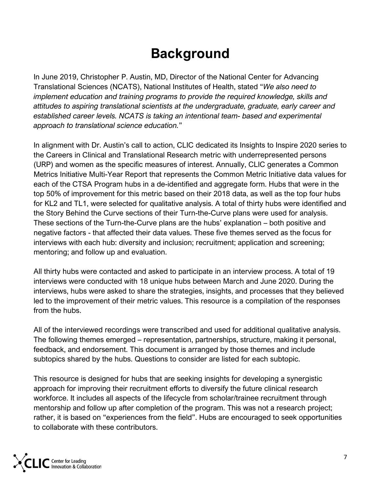### **Background**

<span id="page-7-0"></span>In June 2019, Christopher P. Austin, MD, Director of the National Center for Advancing Translational Sciences (NCATS), National Institutes of Health, stated "*We also need to implement education and training programs to provide the required knowledge, skills and attitudes to aspiring translational scientists at the undergraduate, graduate, early career and established career levels. NCATS is taking an intentional team- based and experimental approach to translational science education.*"

In alignment with Dr. Austin's call to action, CLIC dedicated its Insights to Inspire 2020 series to the Careers in Clinical and Translational Research metric with underrepresented persons (URP) and women as the specific measures of interest. Annually, CLIC generates a Common Metrics Initiative Multi-Year Report that represents the Common Metric Initiative data values for each of the CTSA Program hubs in a de-identified and aggregate form. Hubs that were in the top 50% of improvement for this metric based on their 2018 data, as well as the top four hubs for KL2 and TL1, were selected for qualitative analysis. A total of thirty hubs were identified and the Story Behind the Curve sections of their Turn-the-Curve plans were used for analysis. These sections of the Turn-the-Curve plans are the hubs' explanation – both positive and negative factors - that affected their data values. These five themes served as the focus for interviews with each hub: diversity and inclusion; recruitment; application and screening; mentoring; and follow up and evaluation.

All thirty hubs were contacted and asked to participate in an interview process. A total of 19 interviews were conducted with 18 unique hubs between March and June 2020. During the interviews, hubs were asked to share the strategies, insights, and processes that they believed led to the improvement of their metric values. This resource is a compilation of the responses from the hubs.

All of the interviewed recordings were transcribed and used for additional qualitative analysis. The following themes emerged – representation, partnerships, structure, making it personal, feedback, and endorsement. This document is arranged by those themes and include subtopics shared by the hubs. Questions to consider are listed for each subtopic.

This resource is designed for hubs that are seeking insights for developing a synergistic approach for improving their recruitment efforts to diversify the future clinical research workforce. It includes all aspects of the lifecycle from scholar/trainee recruitment through mentorship and follow up after completion of the program. This was not a research project; rather, it is based on "experiences from the field". Hubs are encouraged to seek opportunities to collaborate with these contributors.

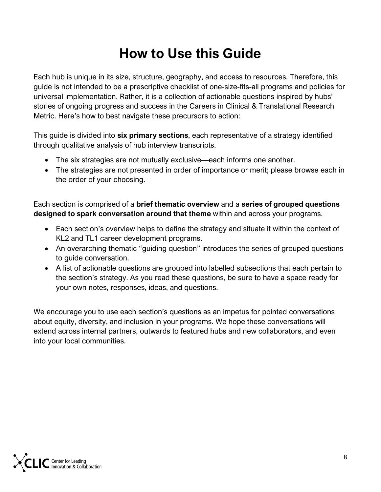### **How to Use this Guide**

<span id="page-8-0"></span>Each hub is unique in its size, structure, geography, and access to resources. Therefore, this guide is not intended to be a prescriptive checklist of one-size-fits-all programs and policies for universal implementation. Rather, it is a collection of actionable questions inspired by hubs' stories of ongoing progress and success in the Careers in Clinical & Translational Research Metric. Here's how to best navigate these precursors to action:

This guide is divided into **six primary sections**, each representative of a strategy identified through qualitative analysis of hub interview transcripts.

- The six strategies are not mutually exclusive—each informs one another.
- The strategies are not presented in order of importance or merit; please browse each in the order of your choosing.

Each section is comprised of a **brief thematic overview** and a **series of grouped questions designed to spark conversation around that theme** within and across your programs.

- Each section's overview helps to define the strategy and situate it within the context of KL2 and TL1 career development programs.
- An overarching thematic "guiding question" introduces the series of grouped questions to guide conversation.
- A list of actionable questions are grouped into labelled subsections that each pertain to the section's strategy. As you read these questions, be sure to have a space ready for your own notes, responses, ideas, and questions.

We encourage you to use each section's questions as an impetus for pointed conversations about equity, diversity, and inclusion in your programs. We hope these conversations will extend across internal partners, outwards to featured hubs and new collaborators, and even into your local communities.

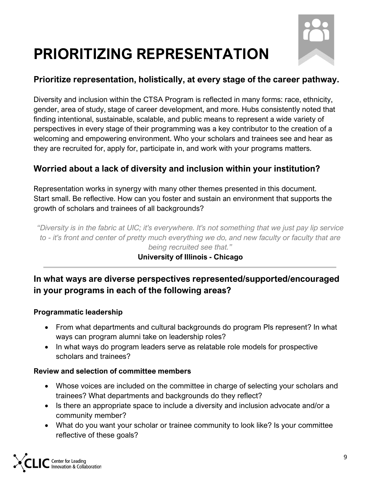

### <span id="page-9-0"></span>**PRIORITIZING REPRESENTATION**

#### **Prioritize representation, holistically, at every stage of the career pathway.**

Diversity and inclusion within the CTSA Program is reflected in many forms: race, ethnicity, gender, area of study, stage of career development, and more. Hubs consistently noted that finding intentional, sustainable, scalable, and public means to represent a wide variety of perspectives in every stage of their programming was a key contributor to the creation of a welcoming and empowering environment. Who your scholars and trainees see and hear as they are recruited for, apply for, participate in, and work with your programs matters.

#### **Worried about a lack of diversity and inclusion within your institution?**

Representation works in synergy with many other themes presented in this document. Start small. Be reflective. How can you foster and sustain an environment that supports the growth of scholars and trainees of all backgrounds?

*"Diversity is in the fabric at UIC; it's everywhere. It's not something that we just pay lip service to - it's front and center of pretty much everything we do, and new faculty or faculty that are being recruited see that."*

#### **University of Illinois - Chicago**

#### **In what ways are diverse perspectives represented/supported/encouraged in your programs in each of the following areas?**

#### **Programmatic leadership**

- From what departments and cultural backgrounds do program PIs represent? In what ways can program alumni take on leadership roles?
- In what ways do program leaders serve as relatable role models for prospective scholars and trainees?

#### **Review and selection of committee members**

- Whose voices are included on the committee in charge of selecting your scholars and trainees? What departments and backgrounds do they reflect?
- Is there an appropriate space to include a diversity and inclusion advocate and/or a community member?
- What do you want your scholar or trainee community to look like? Is your committee reflective of these goals?

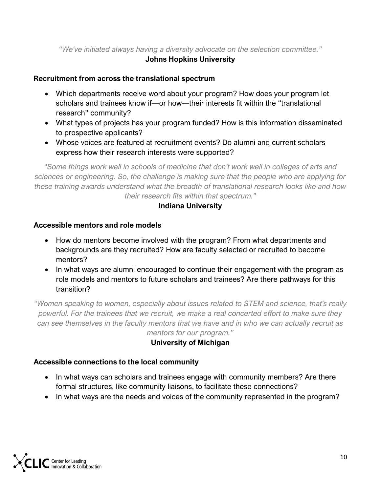#### *"We've initiated always having a diversity advocate on the selection committee."*

#### **Johns Hopkins University**

#### **Recruitment from across the translational spectrum**

- Which departments receive word about your program? How does your program let scholars and trainees know if—or how—their interests fit within the "translational research" community?
- What types of projects has your program funded? How is this information disseminated to prospective applicants?
- Whose voices are featured at recruitment events? Do alumni and current scholars express how their research interests were supported?

*"Some things work well in schools of medicine that don't work well in colleges of arts and sciences or engineering. So, the challenge is making sure that the people who are applying for these training awards understand what the breadth of translational research looks like and how their research fits within that spectrum."*

#### **Indiana University**

#### **Accessible mentors and role models**

- How do mentors become involved with the program? From what departments and backgrounds are they recruited? How are faculty selected or recruited to become mentors?
- In what ways are alumni encouraged to continue their engagement with the program as role models and mentors to future scholars and trainees? Are there pathways for this transition?

*"Women speaking to women, especially about issues related to STEM and science, that's really powerful. For the trainees that we recruit, we make a real concerted effort to make sure they can see themselves in the faculty mentors that we have and in who we can actually recruit as mentors for our program."*

#### **University of Michigan**

#### **Accessible connections to the local community**

- In what ways can scholars and trainees engage with community members? Are there formal structures, like community liaisons, to facilitate these connections?
- In what ways are the needs and voices of the community represented in the program?

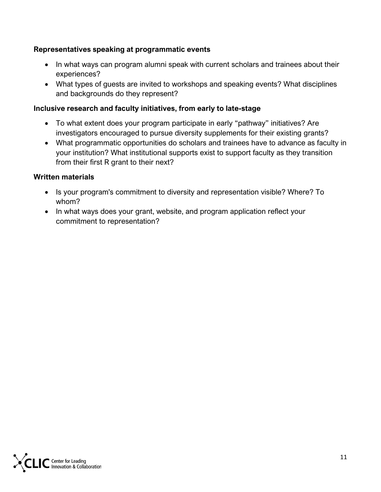#### **Representatives speaking at programmatic events**

- In what ways can program alumni speak with current scholars and trainees about their experiences?
- What types of guests are invited to workshops and speaking events? What disciplines and backgrounds do they represent?

#### **Inclusive research and faculty initiatives, from early to late-stage**

- To what extent does your program participate in early "pathway" initiatives? Are investigators encouraged to pursue diversity supplements for their existing grants?
- What programmatic opportunities do scholars and trainees have to advance as faculty in your institution? What institutional supports exist to support faculty as they transition from their first R grant to their next?

#### **Written materials**

- Is your program's commitment to diversity and representation visible? Where? To whom?
- In what ways does your grant, website, and program application reflect your commitment to representation?

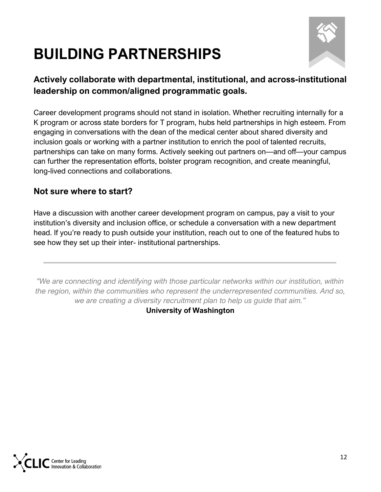### <span id="page-12-0"></span>**BUILDING PARTNERSHIPS**



#### **Actively collaborate with departmental, institutional, and across-institutional leadership on common/aligned programmatic goals.**

Career development programs should not stand in isolation. Whether recruiting internally for a K program or across state borders for T program, hubs held partnerships in high esteem. From engaging in conversations with the dean of the medical center about shared diversity and inclusion goals or working with a partner institution to enrich the pool of talented recruits, partnerships can take on many forms. Actively seeking out partners on—and off—your campus can further the representation efforts, bolster program recognition, and create meaningful, long-lived connections and collaborations.

#### **Not sure where to start?**

Have a discussion with another career development program on campus, pay a visit to your institution's diversity and inclusion office, or schedule a conversation with a new department head. If you're ready to push outside your institution, reach out to one of the featured hubs to see how they set up their inter- institutional partnerships.

*"We are connecting and identifying with those particular networks within our institution, within the region, within the communities who represent the underrepresented communities. And so, we are creating a diversity recruitment plan to help us guide that aim."*

**University of Washington**

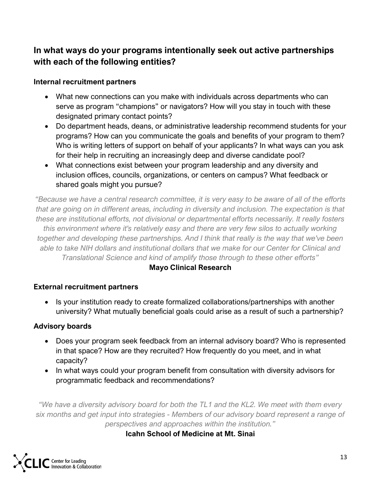#### **In what ways do your programs intentionally seek out active partnerships with each of the following entities?**

#### **Internal recruitment partners**

- What new connections can you make with individuals across departments who can serve as program "champions" or navigators? How will you stay in touch with these designated primary contact points?
- Do department heads, deans, or administrative leadership recommend students for your programs? How can you communicate the goals and benefits of your program to them? Who is writing letters of support on behalf of your applicants? In what ways can you ask for their help in recruiting an increasingly deep and diverse candidate pool?
- What connections exist between your program leadership and any diversity and inclusion offices, councils, organizations, or centers on campus? What feedback or shared goals might you pursue?

*"Because we have a central research committee, it is very easy to be aware of all of the efforts that are going on in different areas, including in diversity and inclusion. The expectation is that these are institutional efforts, not divisional or departmental efforts necessarily. It really fosters this environment where it's relatively easy and there are very few silos to actually working together and developing these partnerships. And I think that really is the way that we've been able to take NIH dollars and institutional dollars that we make for our Center for Clinical and Translational Science and kind of amplify those through to these other efforts"*

#### **Mayo Clinical Research**

#### **External recruitment partners**

• Is your institution ready to create formalized collaborations/partnerships with another university? What mutually beneficial goals could arise as a result of such a partnership?

#### **Advisory boards**

- Does your program seek feedback from an internal advisory board? Who is represented in that space? How are they recruited? How frequently do you meet, and in what capacity?
- In what ways could your program benefit from consultation with diversity advisors for programmatic feedback and recommendations?

*"We have a diversity advisory board for both the TL1 and the KL2. We meet with them every six months and get input into strategies - Members of our advisory board represent a range of perspectives and approaches within the institution."*

**Icahn School of Medicine at Mt. Sinai**

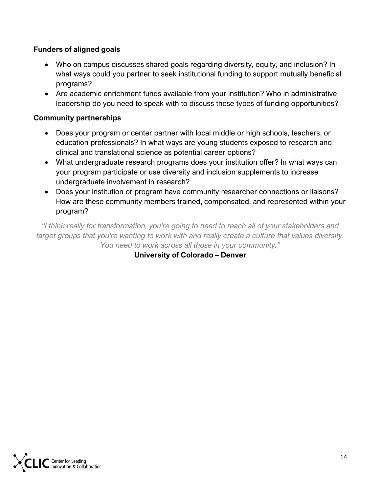#### **Funders of aligned goals**

- Who on campus discusses shared goals regarding diversity, equity, and inclusion? In what ways could you partner to seek institutional funding to support mutually beneficial programs?
- Are academic enrichment funds available from your institution? Who in administrative leadership do you need to speak with to discuss these types of funding opportunities?

#### **Community partnerships**

- Does your program or center partner with local middle or high schools, teachers, or education professionals? In what ways are young students exposed to research and clinical and translational science as potential career options?
- What undergraduate research programs does your institution offer? In what ways can your program participate or use diversity and inclusion supplements to increase undergraduate involvement in research?
- Does your institution or program have community researcher connections or liaisons? How are these community members trained, compensated, and represented within your program?

*"I think really for transformation, you're going to need to reach all of your stakeholders and target groups that you're wanting to work with and really create a culture that values diversity. You need to work across all those in your community."*

**University of Colorado – Denver**

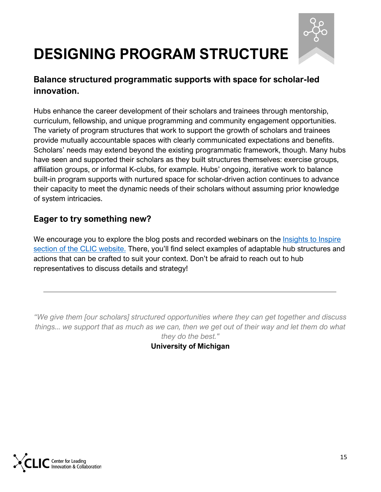

### <span id="page-15-0"></span>**DESIGNING PROGRAM STRUCTURE**

#### **Balance structured programmatic supports with space for scholar-led innovation.**

Hubs enhance the career development of their scholars and trainees through mentorship, curriculum, fellowship, and unique programming and community engagement opportunities. The variety of program structures that work to support the growth of scholars and trainees provide mutually accountable spaces with clearly communicated expectations and benefits. Scholars' needs may extend beyond the existing programmatic framework, though. Many hubs have seen and supported their scholars as they built structures themselves: exercise groups, affiliation groups, or informal K-clubs, for example. Hubs' ongoing, iterative work to balance built-in program supports with nurtured space for scholar-driven action continues to advance their capacity to meet the dynamic needs of their scholars without assuming prior knowledge of system intricacies.

#### **Eager to try something new?**

We encourage you to explore the blog posts and recorded webinars on the Insights to Inspire [section of the CLIC website.](https://clic-ctsa.org/common-metrics-initiative/i2i) There, you'll find select examples of adaptable hub structures and actions that can be crafted to suit your context. Don't be afraid to reach out to hub representatives to discuss details and strategy!

*"We give them [our scholars] structured opportunities where they can get together and discuss things... we support that as much as we can, then we get out of their way and let them do what they do the best."*

**University of Michigan**

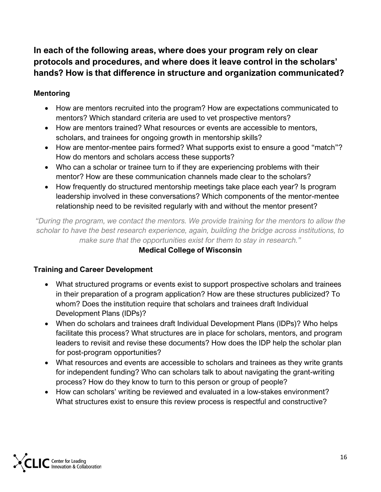#### **In each of the following areas, where does your program rely on clear protocols and procedures, and where does it leave control in the scholars' hands? How is that difference in structure and organization communicated?**

#### **Mentoring**

- How are mentors recruited into the program? How are expectations communicated to mentors? Which standard criteria are used to vet prospective mentors?
- How are mentors trained? What resources or events are accessible to mentors, scholars, and trainees for ongoing growth in mentorship skills?
- How are mentor-mentee pairs formed? What supports exist to ensure a good "match"? How do mentors and scholars access these supports?
- Who can a scholar or trainee turn to if they are experiencing problems with their mentor? How are these communication channels made clear to the scholars?
- How frequently do structured mentorship meetings take place each year? Is program leadership involved in these conversations? Which components of the mentor-mentee relationship need to be revisited regularly with and without the mentor present?

*"During the program, we contact the mentors. We provide training for the mentors to allow the scholar to have the best research experience, again, building the bridge across institutions, to make sure that the opportunities exist for them to stay in research."*

#### **Medical College of Wisconsin**

#### **Training and Career Development**

- What structured programs or events exist to support prospective scholars and trainees in their preparation of a program application? How are these structures publicized? To whom? Does the institution require that scholars and trainees draft Individual Development Plans (IDPs)?
- When do scholars and trainees draft Individual Development Plans (IDPs)? Who helps facilitate this process? What structures are in place for scholars, mentors, and program leaders to revisit and revise these documents? How does the IDP help the scholar plan for post-program opportunities?
- What resources and events are accessible to scholars and trainees as they write grants for independent funding? Who can scholars talk to about navigating the grant-writing process? How do they know to turn to this person or group of people?
- How can scholars' writing be reviewed and evaluated in a low-stakes environment? What structures exist to ensure this review process is respectful and constructive?

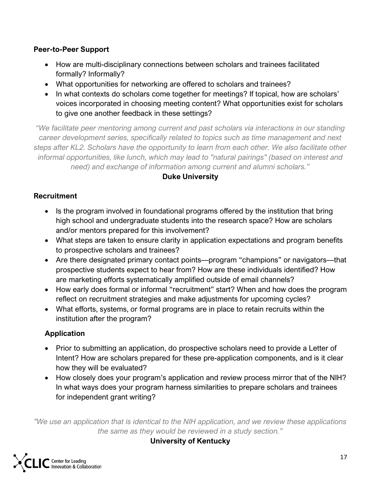#### **Peer-to-Peer Support**

- How are multi-disciplinary connections between scholars and trainees facilitated formally? Informally?
- What opportunities for networking are offered to scholars and trainees?
- In what contexts do scholars come together for meetings? If topical, how are scholars' voices incorporated in choosing meeting content? What opportunities exist for scholars to give one another feedback in these settings?

*"We facilitate peer mentoring among current and past scholars via interactions in our standing career development series, specifically related to topics such as time management and next steps after KL2. Scholars have the opportunity to learn from each other. We also facilitate other informal opportunities, like lunch, which may lead to "natural pairings" (based on interest and need) and exchange of information among current and alumni scholars."*

#### **Duke University**

#### **Recruitment**

- Is the program involved in foundational programs offered by the institution that bring high school and undergraduate students into the research space? How are scholars and/or mentors prepared for this involvement?
- What steps are taken to ensure clarity in application expectations and program benefits to prospective scholars and trainees?
- Are there designated primary contact points—program "champions" or navigators—that prospective students expect to hear from? How are these individuals identified? How are marketing efforts systematically amplified outside of email channels?
- How early does formal or informal "recruitment" start? When and how does the program reflect on recruitment strategies and make adjustments for upcoming cycles?
- What efforts, systems, or formal programs are in place to retain recruits within the institution after the program?

#### **Application**

- Prior to submitting an application, do prospective scholars need to provide a Letter of Intent? How are scholars prepared for these pre-application components, and is it clear how they will be evaluated?
- How closely does your program's application and review process mirror that of the NIH? In what ways does your program harness similarities to prepare scholars and trainees for independent grant writing?

*"We use an application that is identical to the NIH application, and we review these applications the same as they would be reviewed in a study section."*

**University of Kentucky**

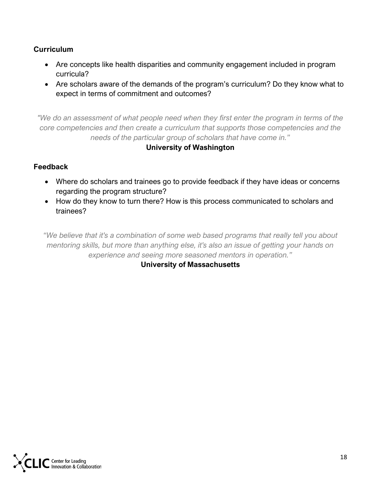#### **Curriculum**

- Are concepts like health disparities and community engagement included in program curricula?
- Are scholars aware of the demands of the program's curriculum? Do they know what to expect in terms of commitment and outcomes?

*"We do an assessment of what people need when they first enter the program in terms of the core competencies and then create a curriculum that supports those competencies and the needs of the particular group of scholars that have come in."*

#### **University of Washington**

#### **Feedback**

- Where do scholars and trainees go to provide feedback if they have ideas or concerns regarding the program structure?
- How do they know to turn there? How is this process communicated to scholars and trainees?

*"We believe that it's a combination of some web based programs that really tell you about mentoring skills, but more than anything else, it's also an issue of getting your hands on experience and seeing more seasoned mentors in operation."*

**University of Massachusetts**

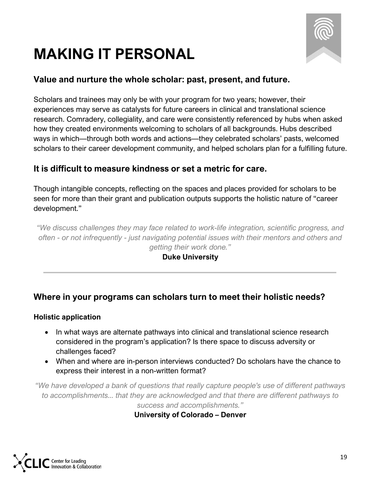### <span id="page-19-0"></span>**MAKING IT PERSONAL**



#### **Value and nurture the whole scholar: past, present, and future.**

Scholars and trainees may only be with your program for two years; however, their experiences may serve as catalysts for future careers in clinical and translational science research. Comradery, collegiality, and care were consistently referenced by hubs when asked how they created environments welcoming to scholars of all backgrounds. Hubs described ways in which—through both words and actions—they celebrated scholars' pasts, welcomed scholars to their career development community, and helped scholars plan for a fulfilling future.

#### **It is difficult to measure kindness or set a metric for care.**

Though intangible concepts, reflecting on the spaces and places provided for scholars to be seen for more than their grant and publication outputs supports the holistic nature of "career development."

*"We discuss challenges they may face related to work-life integration, scientific progress, and often - or not infrequently - just navigating potential issues with their mentors and others and getting their work done."*

#### **Duke University**

#### **Where in your programs can scholars turn to meet their holistic needs?**

#### **Holistic application**

- In what ways are alternate pathways into clinical and translational science research considered in the program's application? Is there space to discuss adversity or challenges faced?
- When and where are in-person interviews conducted? Do scholars have the chance to express their interest in a non-written format?

*"We have developed a bank of questions that really capture people's use of different pathways to accomplishments... that they are acknowledged and that there are different pathways to success and accomplishments."*

**University of Colorado – Denver**

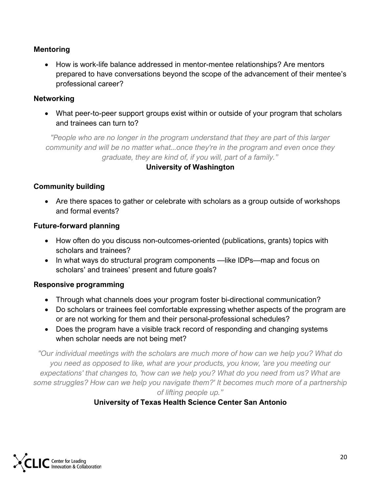#### **Mentoring**

• How is work-life balance addressed in mentor-mentee relationships? Are mentors prepared to have conversations beyond the scope of the advancement of their mentee's professional career?

#### **Networking**

• What peer-to-peer support groups exist within or outside of your program that scholars and trainees can turn to?

*"People who are no longer in the program understand that they are part of this larger community and will be no matter what...once they're in the program and even once they graduate, they are kind of, if you will, part of a family."*

#### **University of Washington**

#### **Community building**

• Are there spaces to gather or celebrate with scholars as a group outside of workshops and formal events?

#### **Future-forward planning**

- How often do you discuss non-outcomes-oriented (publications, grants) topics with scholars and trainees?
- In what ways do structural program components —like IDPs—map and focus on scholars' and trainees' present and future goals?

#### **Responsive programming**

- Through what channels does your program foster bi-directional communication?
- Do scholars or trainees feel comfortable expressing whether aspects of the program are or are not working for them and their personal-professional schedules?
- Does the program have a visible track record of responding and changing systems when scholar needs are not being met?

*"Our individual meetings with the scholars are much more of how can we help you? What do you need as opposed to like, what are your products, you know, 'are you meeting our expectations' that changes to, 'how can we help you? What do you need from us? What are some struggles? How can we help you navigate them?' It becomes much more of a partnership of lifting people up."*

#### **University of Texas Health Science Center San Antonio**

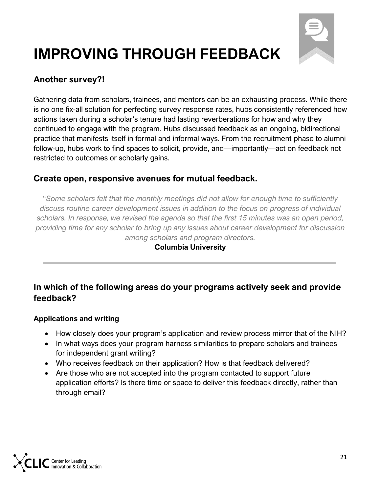

### <span id="page-21-0"></span>**IMPROVING THROUGH FEEDBACK**

#### **Another survey?!**

Gathering data from scholars, trainees, and mentors can be an exhausting process. While there is no one fix-all solution for perfecting survey response rates, hubs consistently referenced how actions taken during a scholar's tenure had lasting reverberations for how and why they continued to engage with the program. Hubs discussed feedback as an ongoing, bidirectional practice that manifests itself in formal and informal ways. From the recruitment phase to alumni follow-up, hubs work to find spaces to solicit, provide, and—importantly—act on feedback not restricted to outcomes or scholarly gains.

#### **Create open, responsive avenues for mutual feedback.**

"*Some scholars felt that the monthly meetings did not allow for enough time to sufficiently discuss routine career development issues in addition to the focus on progress of individual scholars. In response, we revised the agenda so that the first 15 minutes was an open period, providing time for any scholar to bring up any issues about career development for discussion among scholars and program directors.*

#### **Columbia University**

#### **In which of the following areas do your programs actively seek and provide feedback?**

#### **Applications and writing**

- How closely does your program's application and review process mirror that of the NIH?
- In what ways does your program harness similarities to prepare scholars and trainees for independent grant writing?
- Who receives feedback on their application? How is that feedback delivered?
- Are those who are not accepted into the program contacted to support future application efforts? Is there time or space to deliver this feedback directly, rather than through email?

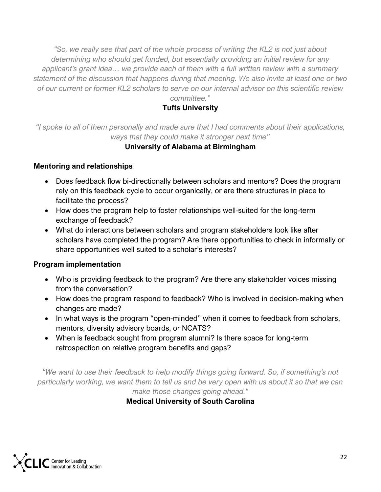*"So, we really see that part of the whole process of writing the KL2 is not just about determining who should get funded, but essentially providing an initial review for any applicant's grant idea… we provide each of them with a full written review with a summary statement of the discussion that happens during that meeting. We also invite at least one or two of our current or former KL2 scholars to serve on our internal advisor on this scientific review committee."*

#### **Tufts University**

*"I spoke to all of them personally and made sure that I had comments about their applications, ways that they could make it stronger next time"*

#### **University of Alabama at Birmingham**

#### **Mentoring and relationships**

- Does feedback flow bi-directionally between scholars and mentors? Does the program rely on this feedback cycle to occur organically, or are there structures in place to facilitate the process?
- How does the program help to foster relationships well-suited for the long-term exchange of feedback?
- What do interactions between scholars and program stakeholders look like after scholars have completed the program? Are there opportunities to check in informally or share opportunities well suited to a scholar's interests?

#### **Program implementation**

- Who is providing feedback to the program? Are there any stakeholder voices missing from the conversation?
- How does the program respond to feedback? Who is involved in decision-making when changes are made?
- In what ways is the program "open-minded" when it comes to feedback from scholars, mentors, diversity advisory boards, or NCATS?
- When is feedback sought from program alumni? Is there space for long-term retrospection on relative program benefits and gaps?

*"We want to use their feedback to help modify things going forward. So, if something's not particularly working, we want them to tell us and be very open with us about it so that we can make those changes going ahead."*

**Medical University of South Carolina**

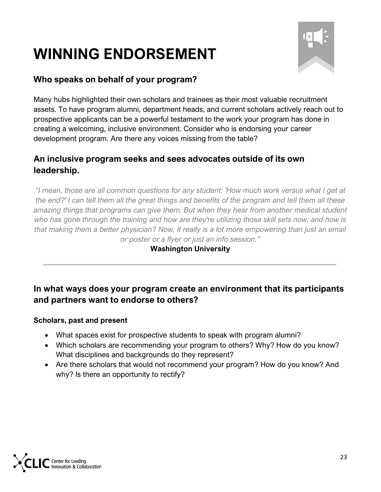### <span id="page-23-0"></span>**WINNING ENDORSEMENT**



#### **Who speaks on behalf of your program?**

Many hubs highlighted their own scholars and trainees as their most valuable recruitment assets. To have program alumni, department heads, and current scholars actively reach out to prospective applicants can be a powerful testament to the work your program has done in creating a welcoming, inclusive environment. Consider who is endorsing your career development program. Are there any voices missing from the table?

#### **An inclusive program seeks and sees advocates outside of its own leadership.**

*"I mean, those are all common questions for any student: 'How much work versus what I get at the end?' I can tell them all the great things and benefits of the program and tell them all these amazing things that programs can give them. But when they hear from another medical student who has gone through the training and how are they're utilizing those skill sets now, and how is that making them a better physician? Now, it really is a lot more empowering than just an email or poster or a flyer or just an info session."*

#### **Washington University**

#### **In what ways does your program create an environment that its participants and partners want to endorse to others?**

#### **Scholars, past and present**

- What spaces exist for prospective students to speak with program alumni?
- Which scholars are recommending your program to others? Why? How do you know? What disciplines and backgrounds do they represent?
- Are there scholars that would not recommend your program? How do you know? And why? Is there an opportunity to rectify?

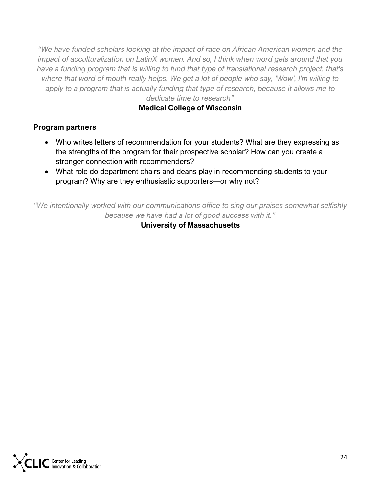*"We have funded scholars looking at the impact of race on African American women and the impact of acculturalization on LatinX women. And so, I think when word gets around that you have a funding program that is willing to fund that type of translational research project, that's where that word of mouth really helps. We get a lot of people who say, 'Wow', I'm willing to apply to a program that is actually funding that type of research, because it allows me to dedicate time to research"*

#### **Medical College of Wisconsin**

#### **Program partners**

- Who writes letters of recommendation for your students? What are they expressing as the strengths of the program for their prospective scholar? How can you create a stronger connection with recommenders?
- What role do department chairs and deans play in recommending students to your program? Why are they enthusiastic supporters—or why not?

*"We intentionally worked with our communications office to sing our praises somewhat selfishly because we have had a lot of good success with it."*

**University of Massachusetts**

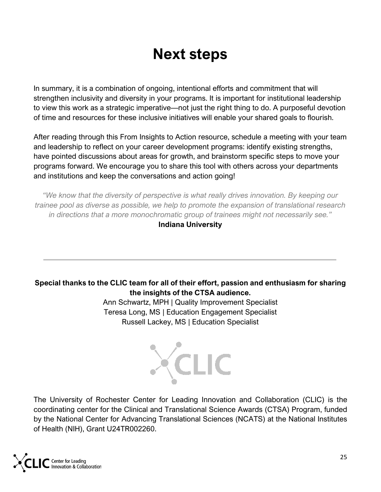### **Next steps**

<span id="page-25-0"></span>In summary, it is a combination of ongoing, intentional efforts and commitment that will strengthen inclusivity and diversity in your programs. It is important for institutional leadership to view this work as a strategic imperative—not just the right thing to do. A purposeful devotion of time and resources for these inclusive initiatives will enable your shared goals to flourish.

After reading through this From Insights to Action resource, schedule a meeting with your team and leadership to reflect on your career development programs: identify existing strengths, have pointed discussions about areas for growth, and brainstorm specific steps to move your programs forward. We encourage you to share this tool with others across your departments and institutions and keep the conversations and action going!

*"We know that the diversity of perspective is what really drives innovation. By keeping our trainee pool as diverse as possible, we help to promote the expansion of translational research in directions that a more monochromatic group of trainees might not necessarily see."*

**Indiana University**

#### **Special thanks to the CLIC team for all of their effort, passion and enthusiasm for sharing the insights of the CTSA audience.**

Ann Schwartz, MPH | Quality Improvement Specialist Teresa Long, MS | Education Engagement Specialist Russell Lackey, MS | Education Specialist



The University of Rochester Center for Leading Innovation and Collaboration (CLIC) is the coordinating center for the Clinical and Translational Science Awards (CTSA) Program, funded by the National Center for Advancing Translational Sciences (NCATS) at the National Institutes of Health (NIH), Grant U24TR002260.